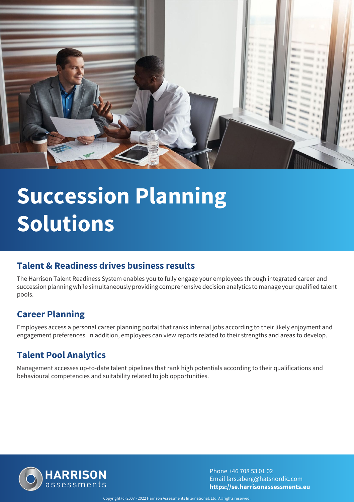

# **Succession Planning Solutions**

#### **Talent & Readiness drives business results**

The Harrison Talent Readiness System enables you to fully engage your employees through integrated career and succession planning while simultaneously providing comprehensive decision analytics to manage your qualified talent pools.

### **Career Planning**

Employees access a personal career planning portal that ranks internal jobs according to their likely enjoyment and engagement preferences. In addition, employees can view reports related to their strengths and areas to develop.

### **Talent Pool Analytics**

Management accesses up-to-date talent pipelines that rank high potentials according to their qualifications and behavioural competencies and suitability related to job opportunities.



Phone +46 708 53 01 02 Email lars.aberg@hatsnordic.com **https://se.harrisonassessments.eu**